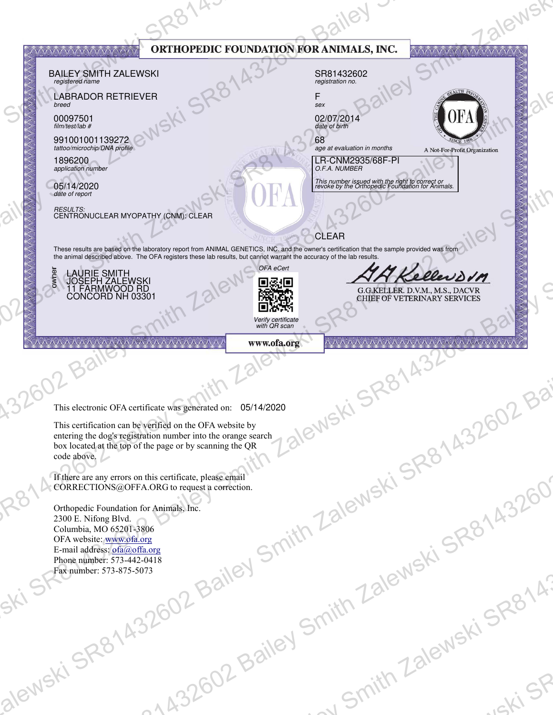| <b>YAYAYAYAYAYAYAY</b>        | <b>BAILEY SMITH ZALEWSKI</b>                                                                                                                                                              |                                    | ORTHOPEDIC FOUNDATION FOR ANIMALS, INC.<br>SR81432602                                                                                                                                                                             | <b>AAAAAAAAAA</b>                                                            |         |
|-------------------------------|-------------------------------------------------------------------------------------------------------------------------------------------------------------------------------------------|------------------------------------|-----------------------------------------------------------------------------------------------------------------------------------------------------------------------------------------------------------------------------------|------------------------------------------------------------------------------|---------|
| registered name<br>breed      | <b>LABRADOR RETRIEVER</b>                                                                                                                                                                 |                                    | registration no.<br>sex                                                                                                                                                                                                           |                                                                              |         |
| 00097501<br>film/test/lab #   | 991001001139272                                                                                                                                                                           |                                    | 02/07/2014<br>date of birth<br>68                                                                                                                                                                                                 |                                                                              |         |
| 1896200<br>application number | tattoo/microchip/DNA profile                                                                                                                                                              |                                    | age at evaluation in months<br>LR-CNM2935/68F-PI<br>O.F.A. NUMBER                                                                                                                                                                 | A Not-For-Profit Organization                                                |         |
| 05/14/2020                    |                                                                                                                                                                                           |                                    | This number issued with the right to correct or<br>revoke by the Orthopedic Foundation for Animals.                                                                                                                               |                                                                              |         |
|                               | RESULTS:<br>CENTRONUCLEAR MYOPATHY (CNM): CLEAR                                                                                                                                           |                                    | CLEAR                                                                                                                                                                                                                             |                                                                              |         |
|                               |                                                                                                                                                                                           | OFA eCert                          | These results are based on the laboratory report from ANIMAL GENETICS, INC. and the owner's certification that the sample provided was from<br>the animal described above. The OFA registers these lab results, but cannot warran |                                                                              |         |
|                               | LAURIE SMITH<br>JOSEPH ZALEWSKI<br>11 FARMWOOD RD<br>CONCORD NH 03301                                                                                                                     | D&B<br>勝数                          |                                                                                                                                                                                                                                   | KellerDVM<br>G.G.KELLER. D.V.M., M.S., DACVR<br>CHIEF OF VETERINARY SERVICES |         |
|                               |                                                                                                                                                                                           | Verify certificate<br>with QR scan |                                                                                                                                                                                                                                   |                                                                              |         |
|                               | VAAAAAAAAAAAAAAAAAAAAAAAAA                                                                                                                                                                | www.ofa.org                        |                                                                                                                                                                                                                                   | AAAAAAAAAAAAAAAAAAAAAAA                                                      |         |
|                               |                                                                                                                                                                                           |                                    |                                                                                                                                                                                                                                   |                                                                              |         |
|                               | This electronic OFA certificate was generated on: 05/14/2020<br>This certification can be verified on the OFA website by<br>entering the dog's registration number into the orange search |                                    |                                                                                                                                                                                                                                   |                                                                              |         |
| code above.                   | box located at the top of the page or by scanning the QR                                                                                                                                  |                                    |                                                                                                                                                                                                                                   |                                                                              |         |
|                               | If there are any errors on this certificate, please email<br>CORRECTIONS@OFFA.ORG to request a correction.                                                                                |                                    |                                                                                                                                                                                                                                   |                                                                              |         |
|                               | Orthopedic Foundation for Animals, Inc.<br>2300 E. Nifong Blvd.<br>Columbia, MO 65201-3806                                                                                                |                                    |                                                                                                                                                                                                                                   |                                                                              |         |
|                               | OFA website: www.ofa.org<br>E-mail address: ofa@offa.org<br>Phone number: 573-442-0418                                                                                                    |                                    |                                                                                                                                                                                                                                   |                                                                              |         |
|                               | Fax number: 573-875-5073                                                                                                                                                                  |                                    |                                                                                                                                                                                                                                   |                                                                              |         |
|                               |                                                                                                                                                                                           |                                    |                                                                                                                                                                                                                                   |                                                                              |         |
|                               |                                                                                                                                                                                           |                                    |                                                                                                                                                                                                                                   |                                                                              |         |
|                               | alewski SR81432602 Bailt.                                                                                                                                                                 |                                    | A432602 Bailey Smith Zalev.<br>Smith Zalewski SR814.                                                                                                                                                                              |                                                                              | ISKI SP |
|                               |                                                                                                                                                                                           |                                    |                                                                                                                                                                                                                                   |                                                                              |         |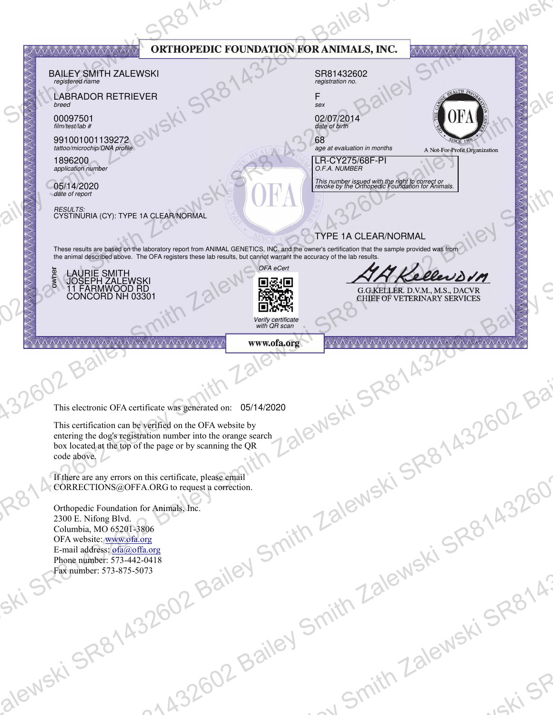| <b>YAYAYAYAYAY MAYA</b>       | <b>BAILEY SMITH ZALEWSKI</b>                                                                                                                                                              |                                    | ORTHOPEDIC FOUNDATION FOR ANIMALS, INC.<br>SR81432602                                                                                                                                                                             | <b>AAAAAAAAAA</b>                                                            |         |
|-------------------------------|-------------------------------------------------------------------------------------------------------------------------------------------------------------------------------------------|------------------------------------|-----------------------------------------------------------------------------------------------------------------------------------------------------------------------------------------------------------------------------------|------------------------------------------------------------------------------|---------|
| registered name<br>breed      | <b>LABRADOR RETRIEVER</b>                                                                                                                                                                 | sex                                | registration no.                                                                                                                                                                                                                  |                                                                              |         |
| 00097501<br>film/test/lab #   | 991001001139272                                                                                                                                                                           | 68                                 | 02/07/2014<br>date of birth                                                                                                                                                                                                       |                                                                              |         |
| 1896200<br>application number | tattoo/microchip/DNA profile                                                                                                                                                              |                                    | age at evaluation in months<br><b>LR-CY275/68F-PI</b><br>O.F.A. NUMBER                                                                                                                                                            | A Not-For-Profit Organization                                                |         |
| 05/14/2020                    |                                                                                                                                                                                           |                                    | This number issued with the right to correct or<br>revoke by the Orthopedic Foundation for Animals.                                                                                                                               |                                                                              |         |
|                               | RESULTS:<br>CYSTINURIA (CY): TYPE 1A CLEAR/NORMAL                                                                                                                                         |                                    | TYPE 1A CLEAR/NORMAL                                                                                                                                                                                                              |                                                                              |         |
|                               |                                                                                                                                                                                           | OFA eCert                          | These results are based on the laboratory report from ANIMAL GENETICS, INC. and the owner's certification that the sample provided was from<br>the animal described above. The OFA registers these lab results, but cannot warran |                                                                              |         |
|                               | LAURIE SMITH<br>JOSEPH ZALEWSKI<br>11 FARMWOOD RD<br>CONCORD NH 03301                                                                                                                     | D&B<br>勝数                          |                                                                                                                                                                                                                                   | Kellerson<br>G.G.KELLER. D.V.M., M.S., DACVR<br>CHIEF OF VETERINARY SERVICES |         |
|                               |                                                                                                                                                                                           | Verify certificate<br>with QR scan |                                                                                                                                                                                                                                   |                                                                              |         |
|                               | NAMA AAAA AAAAA AAAAA AAAAAAAAAA                                                                                                                                                          | www.ofa.org                        |                                                                                                                                                                                                                                   | AAAAAAAAAAAAAAAAAAAAAA                                                       |         |
|                               |                                                                                                                                                                                           |                                    |                                                                                                                                                                                                                                   |                                                                              |         |
|                               | This electronic OFA certificate was generated on: 05/14/2020<br>This certification can be verified on the OFA website by<br>entering the dog's registration number into the orange search |                                    |                                                                                                                                                                                                                                   |                                                                              |         |
| code above.                   | box located at the top of the page or by scanning the QR                                                                                                                                  |                                    |                                                                                                                                                                                                                                   |                                                                              |         |
|                               | If there are any errors on this certificate, please email<br>CORRECTIONS@OFFA.ORG to request a correction.                                                                                |                                    |                                                                                                                                                                                                                                   |                                                                              |         |
|                               | Orthopedic Foundation for Animals, Inc.<br>2300 E. Nifong Blvd.<br>Columbia, MO 65201-3806                                                                                                |                                    |                                                                                                                                                                                                                                   |                                                                              |         |
|                               | OFA website: www.ofa.org<br>E-mail address: ofa@offa.org<br>Phone number: 573-442-0418                                                                                                    |                                    |                                                                                                                                                                                                                                   |                                                                              |         |
|                               | Fax number: 573-875-5073                                                                                                                                                                  |                                    |                                                                                                                                                                                                                                   |                                                                              |         |
|                               |                                                                                                                                                                                           |                                    |                                                                                                                                                                                                                                   |                                                                              |         |
|                               |                                                                                                                                                                                           |                                    |                                                                                                                                                                                                                                   |                                                                              |         |
|                               | alewski SR81432602 Bailt.                                                                                                                                                                 |                                    | M432602 Bailey Smith Zalev.<br>Smith Zalewski SR814.                                                                                                                                                                              |                                                                              | ISKI SP |
|                               |                                                                                                                                                                                           |                                    |                                                                                                                                                                                                                                   |                                                                              |         |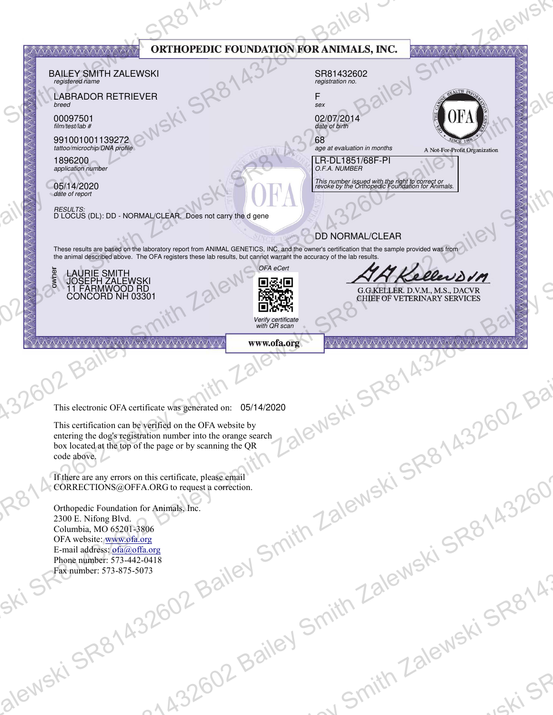| ORTHOPEDIC FOUNDATION FOR ANIMALS, INC.<br><b>AAAAAAAAAA</b><br><b>YAYAYAYAYAYAYAY</b><br><b>BAILEY SMITH ZALEWSKI</b><br>SR81432602<br>registered name<br>registration no.<br><b>LABRADOR RETRIEVER</b><br>breed<br>sex<br>00097501<br>02/07/2014<br>date of birth<br>film/test/lab #<br>991001001139272<br>68<br>tattoo/microchip/DNA profile<br>age at evaluation in months<br>A Not-For-Profit Organization<br>LR-DL1851/68F-PI<br>1896200<br>O.F.A. NUMBER<br>application number<br>This number issued with the right to correct or<br>revoke by the Orthopedic Foundation for Animals.<br>05/14/2020<br>RESULTS:<br>D LOCUS (DL): DD - NORMAL/CLEAR. Does not carry the d gene<br>DD NORMAL/CLEAR<br>These results are based on the laboratory report from ANIMAL GENETICS, INC. and the owner's certification that the sample provided was from<br>the animal described above. The OFA registers these lab results, but cannot warran<br>OFA eCert<br>LAURIE SMITH<br>JOSEPH ZALEWSKI<br>11 FARMWOOD RD<br>CONCORD NH 03301<br>Kellerom<br>D&B<br>勝数<br>G.G.KELLER. D.V.M., M.S., DACVR<br>CHIEF OF VETERINARY SERVICES<br>Verify certificate<br>with QR scan<br>www.ofa.org<br>AAAAAAAAAAAAAAAAAAAAAA<br>NAMA AAAA AAAAA AAAAA AAAAAAAAAA<br>This electronic OFA certificate was generated on: 05/14/2020<br>This certification can be verified on the OFA website by<br>entering the dog's registration number into the orange search<br>box located at the top of the page or by scanning the QR<br>code above.<br>If there are any errors on this certificate, please email<br>CORRECTIONS@OFFA.ORG to request a correction.<br>Orthopedic Foundation for Animals, Inc.<br>2300 E. Nifong Blvd.<br>Columbia, MO 65201-3806<br>OFA website: www.ofa.org<br>E-mail address: ofa@offa.org<br>Phone number: 573-442-0418<br>Fax number: 573-875-5073<br>alewski SR81432602 Bailt.<br>M432602 Bailey Smith Zalev.<br>Smith Zalewski SR814.<br>ISKI SP |  |  |  |
|-------------------------------------------------------------------------------------------------------------------------------------------------------------------------------------------------------------------------------------------------------------------------------------------------------------------------------------------------------------------------------------------------------------------------------------------------------------------------------------------------------------------------------------------------------------------------------------------------------------------------------------------------------------------------------------------------------------------------------------------------------------------------------------------------------------------------------------------------------------------------------------------------------------------------------------------------------------------------------------------------------------------------------------------------------------------------------------------------------------------------------------------------------------------------------------------------------------------------------------------------------------------------------------------------------------------------------------------------------------------------------------------------------------------------------------------------------------------------------------------------------------------------------------------------------------------------------------------------------------------------------------------------------------------------------------------------------------------------------------------------------------------------------------------------------------------------------------------------------------------------------------------------------------------------------------------------------------|--|--|--|
|                                                                                                                                                                                                                                                                                                                                                                                                                                                                                                                                                                                                                                                                                                                                                                                                                                                                                                                                                                                                                                                                                                                                                                                                                                                                                                                                                                                                                                                                                                                                                                                                                                                                                                                                                                                                                                                                                                                                                             |  |  |  |
|                                                                                                                                                                                                                                                                                                                                                                                                                                                                                                                                                                                                                                                                                                                                                                                                                                                                                                                                                                                                                                                                                                                                                                                                                                                                                                                                                                                                                                                                                                                                                                                                                                                                                                                                                                                                                                                                                                                                                             |  |  |  |
|                                                                                                                                                                                                                                                                                                                                                                                                                                                                                                                                                                                                                                                                                                                                                                                                                                                                                                                                                                                                                                                                                                                                                                                                                                                                                                                                                                                                                                                                                                                                                                                                                                                                                                                                                                                                                                                                                                                                                             |  |  |  |
|                                                                                                                                                                                                                                                                                                                                                                                                                                                                                                                                                                                                                                                                                                                                                                                                                                                                                                                                                                                                                                                                                                                                                                                                                                                                                                                                                                                                                                                                                                                                                                                                                                                                                                                                                                                                                                                                                                                                                             |  |  |  |
|                                                                                                                                                                                                                                                                                                                                                                                                                                                                                                                                                                                                                                                                                                                                                                                                                                                                                                                                                                                                                                                                                                                                                                                                                                                                                                                                                                                                                                                                                                                                                                                                                                                                                                                                                                                                                                                                                                                                                             |  |  |  |
|                                                                                                                                                                                                                                                                                                                                                                                                                                                                                                                                                                                                                                                                                                                                                                                                                                                                                                                                                                                                                                                                                                                                                                                                                                                                                                                                                                                                                                                                                                                                                                                                                                                                                                                                                                                                                                                                                                                                                             |  |  |  |
|                                                                                                                                                                                                                                                                                                                                                                                                                                                                                                                                                                                                                                                                                                                                                                                                                                                                                                                                                                                                                                                                                                                                                                                                                                                                                                                                                                                                                                                                                                                                                                                                                                                                                                                                                                                                                                                                                                                                                             |  |  |  |
|                                                                                                                                                                                                                                                                                                                                                                                                                                                                                                                                                                                                                                                                                                                                                                                                                                                                                                                                                                                                                                                                                                                                                                                                                                                                                                                                                                                                                                                                                                                                                                                                                                                                                                                                                                                                                                                                                                                                                             |  |  |  |
|                                                                                                                                                                                                                                                                                                                                                                                                                                                                                                                                                                                                                                                                                                                                                                                                                                                                                                                                                                                                                                                                                                                                                                                                                                                                                                                                                                                                                                                                                                                                                                                                                                                                                                                                                                                                                                                                                                                                                             |  |  |  |
|                                                                                                                                                                                                                                                                                                                                                                                                                                                                                                                                                                                                                                                                                                                                                                                                                                                                                                                                                                                                                                                                                                                                                                                                                                                                                                                                                                                                                                                                                                                                                                                                                                                                                                                                                                                                                                                                                                                                                             |  |  |  |
|                                                                                                                                                                                                                                                                                                                                                                                                                                                                                                                                                                                                                                                                                                                                                                                                                                                                                                                                                                                                                                                                                                                                                                                                                                                                                                                                                                                                                                                                                                                                                                                                                                                                                                                                                                                                                                                                                                                                                             |  |  |  |
|                                                                                                                                                                                                                                                                                                                                                                                                                                                                                                                                                                                                                                                                                                                                                                                                                                                                                                                                                                                                                                                                                                                                                                                                                                                                                                                                                                                                                                                                                                                                                                                                                                                                                                                                                                                                                                                                                                                                                             |  |  |  |
|                                                                                                                                                                                                                                                                                                                                                                                                                                                                                                                                                                                                                                                                                                                                                                                                                                                                                                                                                                                                                                                                                                                                                                                                                                                                                                                                                                                                                                                                                                                                                                                                                                                                                                                                                                                                                                                                                                                                                             |  |  |  |
|                                                                                                                                                                                                                                                                                                                                                                                                                                                                                                                                                                                                                                                                                                                                                                                                                                                                                                                                                                                                                                                                                                                                                                                                                                                                                                                                                                                                                                                                                                                                                                                                                                                                                                                                                                                                                                                                                                                                                             |  |  |  |
|                                                                                                                                                                                                                                                                                                                                                                                                                                                                                                                                                                                                                                                                                                                                                                                                                                                                                                                                                                                                                                                                                                                                                                                                                                                                                                                                                                                                                                                                                                                                                                                                                                                                                                                                                                                                                                                                                                                                                             |  |  |  |
|                                                                                                                                                                                                                                                                                                                                                                                                                                                                                                                                                                                                                                                                                                                                                                                                                                                                                                                                                                                                                                                                                                                                                                                                                                                                                                                                                                                                                                                                                                                                                                                                                                                                                                                                                                                                                                                                                                                                                             |  |  |  |
|                                                                                                                                                                                                                                                                                                                                                                                                                                                                                                                                                                                                                                                                                                                                                                                                                                                                                                                                                                                                                                                                                                                                                                                                                                                                                                                                                                                                                                                                                                                                                                                                                                                                                                                                                                                                                                                                                                                                                             |  |  |  |
|                                                                                                                                                                                                                                                                                                                                                                                                                                                                                                                                                                                                                                                                                                                                                                                                                                                                                                                                                                                                                                                                                                                                                                                                                                                                                                                                                                                                                                                                                                                                                                                                                                                                                                                                                                                                                                                                                                                                                             |  |  |  |
|                                                                                                                                                                                                                                                                                                                                                                                                                                                                                                                                                                                                                                                                                                                                                                                                                                                                                                                                                                                                                                                                                                                                                                                                                                                                                                                                                                                                                                                                                                                                                                                                                                                                                                                                                                                                                                                                                                                                                             |  |  |  |
|                                                                                                                                                                                                                                                                                                                                                                                                                                                                                                                                                                                                                                                                                                                                                                                                                                                                                                                                                                                                                                                                                                                                                                                                                                                                                                                                                                                                                                                                                                                                                                                                                                                                                                                                                                                                                                                                                                                                                             |  |  |  |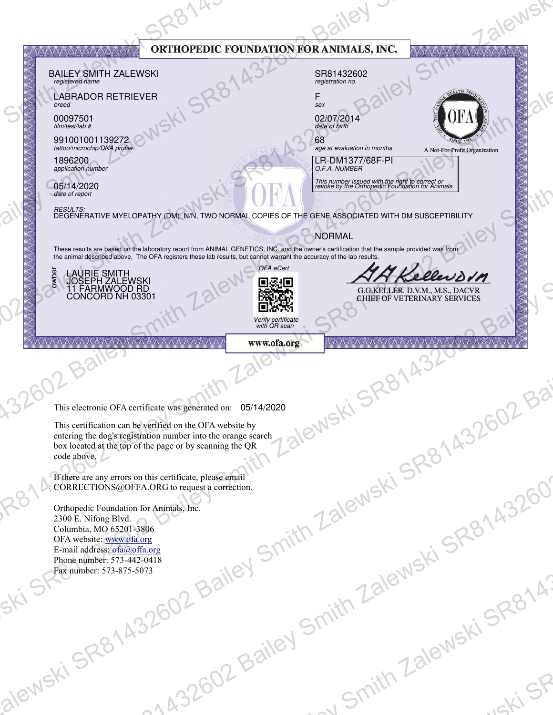| ORTHOPEDIC FOUNDATION FOR ANIMALS, INC.<br><b>AAAAAAAAAA</b><br><b>BAILEY SMITH ZALEWSKI</b><br>SR81432602<br>registered name<br>registration no.<br><b>LABRADOR RETRIEVER</b><br>breed<br>sex<br>00097501<br>02/07/2014<br>date of birth<br>film/test/lab #<br>991001001139272<br>68<br>tattoo/microchip/DNA profile<br>age at evaluation in months<br>A Not-For-Profit Organization<br><b>LR-DM1377/68F-PI</b><br>1896200<br>O.F.A. NUMBER<br>application number<br>This number issued with the right to correct or<br>revoke by the Orthopedic Foundation for Animals.<br>05/14/2020<br><i>RESULTS:</i><br>DEGENERATIVE MYELOPATHY (DM): N/N, TWO NORMAL COPIES OF THE GENE ASSOCIATED WITH DM SUSCEPTIBILITY<br>NORMAL<br>These results are based on the laboratory report from ANIMAL GENETICS, INC. and the owner's certification that the sample provided was from<br>the animal described above. The OFA registers these lab results, but cannot warran<br>OFA eCert<br>LAURIE SMITH<br>JOSEPH ZALEWSKI<br>11 FARMWOOD RD<br>CONCORD NH 03301<br>KellerDVM<br>D&B<br>勝数<br>G.G.KELLER. D.V.M., M.S., DACVR<br>CHIEF OF VETERINARY SERVICES<br>Verify certificate<br>with QR scan<br>www.ofa.org<br>VAAAAAAAAAAAAAAAAAAAAAAA<br>AAAAAAAAAAAAAAAAAAAAAAAAAA<br>This electronic OFA certificate was generated on: 05/14/2020<br>This certification can be verified on the OFA website by<br>entering the dog's registration number into the orange search<br>box located at the top of the page or by scanning the QR<br>code above.<br>If there are any errors on this certificate, please email<br>CORRECTIONS@OFFA.ORG to request a correction.<br>Orthopedic Foundation for Animals, Inc.<br>2300 E. Nifong Blvd.<br>Columbia, MO 65201-3806<br>OFA website: www.ofa.org<br>E-mail address: ofa@offa.org<br>Phone number: 573-442-0418<br>Fax number: 573-875-5073<br>alewski SR81432602 Bailt.<br>M432602 Bailey Smith Zalev.<br>Smith Zalewski SR814.<br>ISKI SP |  |  |  |
|-----------------------------------------------------------------------------------------------------------------------------------------------------------------------------------------------------------------------------------------------------------------------------------------------------------------------------------------------------------------------------------------------------------------------------------------------------------------------------------------------------------------------------------------------------------------------------------------------------------------------------------------------------------------------------------------------------------------------------------------------------------------------------------------------------------------------------------------------------------------------------------------------------------------------------------------------------------------------------------------------------------------------------------------------------------------------------------------------------------------------------------------------------------------------------------------------------------------------------------------------------------------------------------------------------------------------------------------------------------------------------------------------------------------------------------------------------------------------------------------------------------------------------------------------------------------------------------------------------------------------------------------------------------------------------------------------------------------------------------------------------------------------------------------------------------------------------------------------------------------------------------------------------------------------------------------------------------------------------|--|--|--|
|                                                                                                                                                                                                                                                                                                                                                                                                                                                                                                                                                                                                                                                                                                                                                                                                                                                                                                                                                                                                                                                                                                                                                                                                                                                                                                                                                                                                                                                                                                                                                                                                                                                                                                                                                                                                                                                                                                                                                                             |  |  |  |
|                                                                                                                                                                                                                                                                                                                                                                                                                                                                                                                                                                                                                                                                                                                                                                                                                                                                                                                                                                                                                                                                                                                                                                                                                                                                                                                                                                                                                                                                                                                                                                                                                                                                                                                                                                                                                                                                                                                                                                             |  |  |  |
|                                                                                                                                                                                                                                                                                                                                                                                                                                                                                                                                                                                                                                                                                                                                                                                                                                                                                                                                                                                                                                                                                                                                                                                                                                                                                                                                                                                                                                                                                                                                                                                                                                                                                                                                                                                                                                                                                                                                                                             |  |  |  |
|                                                                                                                                                                                                                                                                                                                                                                                                                                                                                                                                                                                                                                                                                                                                                                                                                                                                                                                                                                                                                                                                                                                                                                                                                                                                                                                                                                                                                                                                                                                                                                                                                                                                                                                                                                                                                                                                                                                                                                             |  |  |  |
|                                                                                                                                                                                                                                                                                                                                                                                                                                                                                                                                                                                                                                                                                                                                                                                                                                                                                                                                                                                                                                                                                                                                                                                                                                                                                                                                                                                                                                                                                                                                                                                                                                                                                                                                                                                                                                                                                                                                                                             |  |  |  |
|                                                                                                                                                                                                                                                                                                                                                                                                                                                                                                                                                                                                                                                                                                                                                                                                                                                                                                                                                                                                                                                                                                                                                                                                                                                                                                                                                                                                                                                                                                                                                                                                                                                                                                                                                                                                                                                                                                                                                                             |  |  |  |
|                                                                                                                                                                                                                                                                                                                                                                                                                                                                                                                                                                                                                                                                                                                                                                                                                                                                                                                                                                                                                                                                                                                                                                                                                                                                                                                                                                                                                                                                                                                                                                                                                                                                                                                                                                                                                                                                                                                                                                             |  |  |  |
|                                                                                                                                                                                                                                                                                                                                                                                                                                                                                                                                                                                                                                                                                                                                                                                                                                                                                                                                                                                                                                                                                                                                                                                                                                                                                                                                                                                                                                                                                                                                                                                                                                                                                                                                                                                                                                                                                                                                                                             |  |  |  |
|                                                                                                                                                                                                                                                                                                                                                                                                                                                                                                                                                                                                                                                                                                                                                                                                                                                                                                                                                                                                                                                                                                                                                                                                                                                                                                                                                                                                                                                                                                                                                                                                                                                                                                                                                                                                                                                                                                                                                                             |  |  |  |
|                                                                                                                                                                                                                                                                                                                                                                                                                                                                                                                                                                                                                                                                                                                                                                                                                                                                                                                                                                                                                                                                                                                                                                                                                                                                                                                                                                                                                                                                                                                                                                                                                                                                                                                                                                                                                                                                                                                                                                             |  |  |  |
|                                                                                                                                                                                                                                                                                                                                                                                                                                                                                                                                                                                                                                                                                                                                                                                                                                                                                                                                                                                                                                                                                                                                                                                                                                                                                                                                                                                                                                                                                                                                                                                                                                                                                                                                                                                                                                                                                                                                                                             |  |  |  |
|                                                                                                                                                                                                                                                                                                                                                                                                                                                                                                                                                                                                                                                                                                                                                                                                                                                                                                                                                                                                                                                                                                                                                                                                                                                                                                                                                                                                                                                                                                                                                                                                                                                                                                                                                                                                                                                                                                                                                                             |  |  |  |
|                                                                                                                                                                                                                                                                                                                                                                                                                                                                                                                                                                                                                                                                                                                                                                                                                                                                                                                                                                                                                                                                                                                                                                                                                                                                                                                                                                                                                                                                                                                                                                                                                                                                                                                                                                                                                                                                                                                                                                             |  |  |  |
|                                                                                                                                                                                                                                                                                                                                                                                                                                                                                                                                                                                                                                                                                                                                                                                                                                                                                                                                                                                                                                                                                                                                                                                                                                                                                                                                                                                                                                                                                                                                                                                                                                                                                                                                                                                                                                                                                                                                                                             |  |  |  |
|                                                                                                                                                                                                                                                                                                                                                                                                                                                                                                                                                                                                                                                                                                                                                                                                                                                                                                                                                                                                                                                                                                                                                                                                                                                                                                                                                                                                                                                                                                                                                                                                                                                                                                                                                                                                                                                                                                                                                                             |  |  |  |
|                                                                                                                                                                                                                                                                                                                                                                                                                                                                                                                                                                                                                                                                                                                                                                                                                                                                                                                                                                                                                                                                                                                                                                                                                                                                                                                                                                                                                                                                                                                                                                                                                                                                                                                                                                                                                                                                                                                                                                             |  |  |  |
|                                                                                                                                                                                                                                                                                                                                                                                                                                                                                                                                                                                                                                                                                                                                                                                                                                                                                                                                                                                                                                                                                                                                                                                                                                                                                                                                                                                                                                                                                                                                                                                                                                                                                                                                                                                                                                                                                                                                                                             |  |  |  |
|                                                                                                                                                                                                                                                                                                                                                                                                                                                                                                                                                                                                                                                                                                                                                                                                                                                                                                                                                                                                                                                                                                                                                                                                                                                                                                                                                                                                                                                                                                                                                                                                                                                                                                                                                                                                                                                                                                                                                                             |  |  |  |
|                                                                                                                                                                                                                                                                                                                                                                                                                                                                                                                                                                                                                                                                                                                                                                                                                                                                                                                                                                                                                                                                                                                                                                                                                                                                                                                                                                                                                                                                                                                                                                                                                                                                                                                                                                                                                                                                                                                                                                             |  |  |  |
|                                                                                                                                                                                                                                                                                                                                                                                                                                                                                                                                                                                                                                                                                                                                                                                                                                                                                                                                                                                                                                                                                                                                                                                                                                                                                                                                                                                                                                                                                                                                                                                                                                                                                                                                                                                                                                                                                                                                                                             |  |  |  |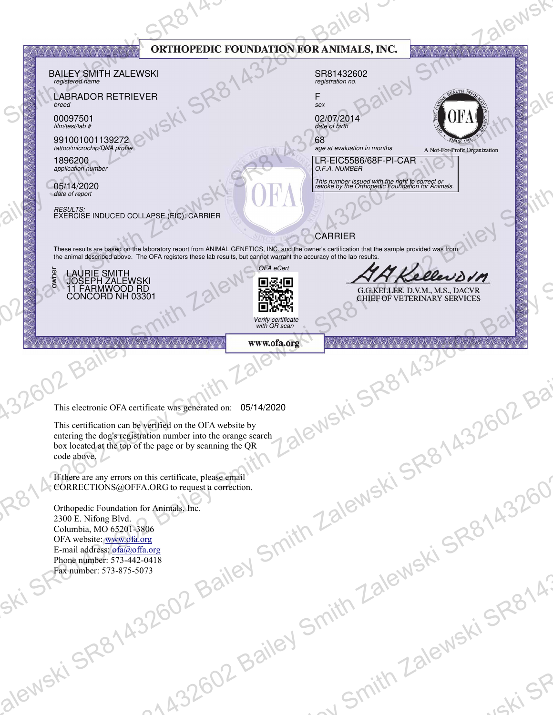| ORTHOPEDIC FOUNDATION FOR ANIMALS, INC.<br><b>AAAAAAAAAA</b><br><b>VAYAYAYAYAYAYAYA</b><br><b>BAILEY SMITH ZALEWSKI</b><br>SR81432602<br>registered name<br>registration no.<br><b>LABRADOR RETRIEVER</b><br>breed<br>sex<br>00097501<br>02/07/2014<br>date of birth<br>film/test/lab #<br>991001001139272<br>68<br>tattoo/microchip/DNA profile<br>age at evaluation in months<br>A Not-For-Profit Organization<br>LR-EIC5586/68F-PI-CAR<br>1896200<br>O.F.A. NUMBER<br>application number<br>This number issued with the right to correct or<br>revoke by the Orthopedic Foundation for Animals.<br>05/14/2020<br><i>RESULTS:</i><br>EXERCISE INDUCED COLLAPSE (EIC): CARRIER<br>CARRIER<br>These results are based on the laboratory report from ANIMAL GENETICS, INC. and the owner's certification that the sample provided was from<br>the animal described above. The OFA registers these lab results, but cannot warran<br>OFA eCert<br>LAURIE SMITH<br>JOSEPH ZALEWSKI<br>11 FARMWOOD RD<br>CONCORD NH 03301<br>Kellerson<br>D&B<br>勝数<br>G.G.KELLER. D.V.M., M.S., DACVR<br>CHIEF OF VETERINARY SERVICES<br>Verify certificate<br>with QR scan<br>www.ofa.org<br>VAAAAAAAAAAAAAAAAAAAAAAAAAA<br>AAAAAAAAAAAAAAAAAAAAAAAAAAA<br>This electronic OFA certificate was generated on: 05/14/2020<br>This certification can be verified on the OFA website by<br>entering the dog's registration number into the orange search<br>box located at the top of the page or by scanning the QR<br>code above.<br>If there are any errors on this certificate, please email<br>CORRECTIONS@OFFA.ORG to request a correction.<br>Orthopedic Foundation for Animals, Inc.<br>2300 E. Nifong Blvd.<br>Columbia, MO 65201-3806<br>OFA website: www.ofa.org<br>E-mail address: ofa@offa.org<br>Phone number: 573-442-0418<br>Fax number: 573-875-5073<br>alewski SR81432602 Bailt.<br>M432602 Bailey Smith Zalev.<br>Smith Zalewski SR814.<br>ISKI SP |  |  |  |  |
|-------------------------------------------------------------------------------------------------------------------------------------------------------------------------------------------------------------------------------------------------------------------------------------------------------------------------------------------------------------------------------------------------------------------------------------------------------------------------------------------------------------------------------------------------------------------------------------------------------------------------------------------------------------------------------------------------------------------------------------------------------------------------------------------------------------------------------------------------------------------------------------------------------------------------------------------------------------------------------------------------------------------------------------------------------------------------------------------------------------------------------------------------------------------------------------------------------------------------------------------------------------------------------------------------------------------------------------------------------------------------------------------------------------------------------------------------------------------------------------------------------------------------------------------------------------------------------------------------------------------------------------------------------------------------------------------------------------------------------------------------------------------------------------------------------------------------------------------------------------------------------------------------------------------------------------------------|--|--|--|--|
|                                                                                                                                                                                                                                                                                                                                                                                                                                                                                                                                                                                                                                                                                                                                                                                                                                                                                                                                                                                                                                                                                                                                                                                                                                                                                                                                                                                                                                                                                                                                                                                                                                                                                                                                                                                                                                                                                                                                                 |  |  |  |  |
|                                                                                                                                                                                                                                                                                                                                                                                                                                                                                                                                                                                                                                                                                                                                                                                                                                                                                                                                                                                                                                                                                                                                                                                                                                                                                                                                                                                                                                                                                                                                                                                                                                                                                                                                                                                                                                                                                                                                                 |  |  |  |  |
|                                                                                                                                                                                                                                                                                                                                                                                                                                                                                                                                                                                                                                                                                                                                                                                                                                                                                                                                                                                                                                                                                                                                                                                                                                                                                                                                                                                                                                                                                                                                                                                                                                                                                                                                                                                                                                                                                                                                                 |  |  |  |  |
|                                                                                                                                                                                                                                                                                                                                                                                                                                                                                                                                                                                                                                                                                                                                                                                                                                                                                                                                                                                                                                                                                                                                                                                                                                                                                                                                                                                                                                                                                                                                                                                                                                                                                                                                                                                                                                                                                                                                                 |  |  |  |  |
|                                                                                                                                                                                                                                                                                                                                                                                                                                                                                                                                                                                                                                                                                                                                                                                                                                                                                                                                                                                                                                                                                                                                                                                                                                                                                                                                                                                                                                                                                                                                                                                                                                                                                                                                                                                                                                                                                                                                                 |  |  |  |  |
|                                                                                                                                                                                                                                                                                                                                                                                                                                                                                                                                                                                                                                                                                                                                                                                                                                                                                                                                                                                                                                                                                                                                                                                                                                                                                                                                                                                                                                                                                                                                                                                                                                                                                                                                                                                                                                                                                                                                                 |  |  |  |  |
|                                                                                                                                                                                                                                                                                                                                                                                                                                                                                                                                                                                                                                                                                                                                                                                                                                                                                                                                                                                                                                                                                                                                                                                                                                                                                                                                                                                                                                                                                                                                                                                                                                                                                                                                                                                                                                                                                                                                                 |  |  |  |  |
|                                                                                                                                                                                                                                                                                                                                                                                                                                                                                                                                                                                                                                                                                                                                                                                                                                                                                                                                                                                                                                                                                                                                                                                                                                                                                                                                                                                                                                                                                                                                                                                                                                                                                                                                                                                                                                                                                                                                                 |  |  |  |  |
|                                                                                                                                                                                                                                                                                                                                                                                                                                                                                                                                                                                                                                                                                                                                                                                                                                                                                                                                                                                                                                                                                                                                                                                                                                                                                                                                                                                                                                                                                                                                                                                                                                                                                                                                                                                                                                                                                                                                                 |  |  |  |  |
|                                                                                                                                                                                                                                                                                                                                                                                                                                                                                                                                                                                                                                                                                                                                                                                                                                                                                                                                                                                                                                                                                                                                                                                                                                                                                                                                                                                                                                                                                                                                                                                                                                                                                                                                                                                                                                                                                                                                                 |  |  |  |  |
|                                                                                                                                                                                                                                                                                                                                                                                                                                                                                                                                                                                                                                                                                                                                                                                                                                                                                                                                                                                                                                                                                                                                                                                                                                                                                                                                                                                                                                                                                                                                                                                                                                                                                                                                                                                                                                                                                                                                                 |  |  |  |  |
|                                                                                                                                                                                                                                                                                                                                                                                                                                                                                                                                                                                                                                                                                                                                                                                                                                                                                                                                                                                                                                                                                                                                                                                                                                                                                                                                                                                                                                                                                                                                                                                                                                                                                                                                                                                                                                                                                                                                                 |  |  |  |  |
|                                                                                                                                                                                                                                                                                                                                                                                                                                                                                                                                                                                                                                                                                                                                                                                                                                                                                                                                                                                                                                                                                                                                                                                                                                                                                                                                                                                                                                                                                                                                                                                                                                                                                                                                                                                                                                                                                                                                                 |  |  |  |  |
|                                                                                                                                                                                                                                                                                                                                                                                                                                                                                                                                                                                                                                                                                                                                                                                                                                                                                                                                                                                                                                                                                                                                                                                                                                                                                                                                                                                                                                                                                                                                                                                                                                                                                                                                                                                                                                                                                                                                                 |  |  |  |  |
|                                                                                                                                                                                                                                                                                                                                                                                                                                                                                                                                                                                                                                                                                                                                                                                                                                                                                                                                                                                                                                                                                                                                                                                                                                                                                                                                                                                                                                                                                                                                                                                                                                                                                                                                                                                                                                                                                                                                                 |  |  |  |  |
|                                                                                                                                                                                                                                                                                                                                                                                                                                                                                                                                                                                                                                                                                                                                                                                                                                                                                                                                                                                                                                                                                                                                                                                                                                                                                                                                                                                                                                                                                                                                                                                                                                                                                                                                                                                                                                                                                                                                                 |  |  |  |  |
|                                                                                                                                                                                                                                                                                                                                                                                                                                                                                                                                                                                                                                                                                                                                                                                                                                                                                                                                                                                                                                                                                                                                                                                                                                                                                                                                                                                                                                                                                                                                                                                                                                                                                                                                                                                                                                                                                                                                                 |  |  |  |  |
|                                                                                                                                                                                                                                                                                                                                                                                                                                                                                                                                                                                                                                                                                                                                                                                                                                                                                                                                                                                                                                                                                                                                                                                                                                                                                                                                                                                                                                                                                                                                                                                                                                                                                                                                                                                                                                                                                                                                                 |  |  |  |  |
|                                                                                                                                                                                                                                                                                                                                                                                                                                                                                                                                                                                                                                                                                                                                                                                                                                                                                                                                                                                                                                                                                                                                                                                                                                                                                                                                                                                                                                                                                                                                                                                                                                                                                                                                                                                                                                                                                                                                                 |  |  |  |  |
|                                                                                                                                                                                                                                                                                                                                                                                                                                                                                                                                                                                                                                                                                                                                                                                                                                                                                                                                                                                                                                                                                                                                                                                                                                                                                                                                                                                                                                                                                                                                                                                                                                                                                                                                                                                                                                                                                                                                                 |  |  |  |  |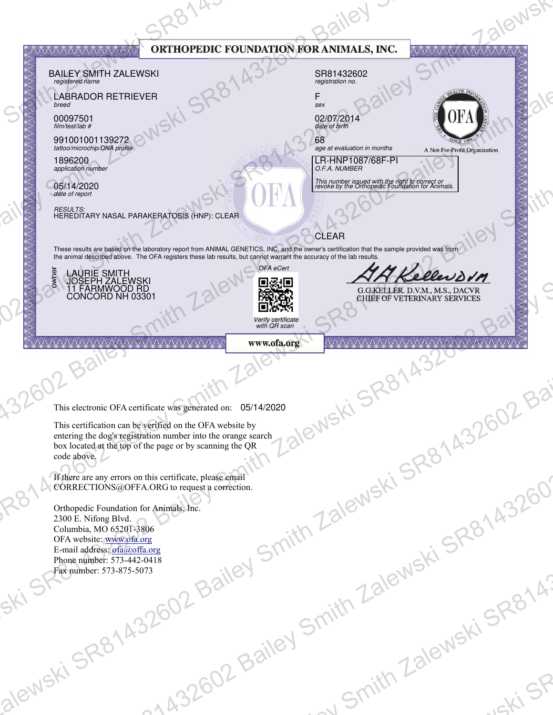| ORTHOPEDIC FOUNDATION FOR ANIMALS, INC.<br><b>AAAAAAAAAA</b><br><b>VAYAYAYAYAYAYAYA</b><br><b>BAILEY SMITH ZALEWSKI</b><br>SR81432602<br>registered name<br>registration no.<br><b>LABRADOR RETRIEVER</b><br>breed<br>sex<br>00097501<br>02/07/2014<br>date of birth<br>film/test/lab #<br>991001001139272<br>68<br>tattoo/microchip/DNA profile<br>age at evaluation in months<br>A Not-For-Profit Organization<br><b>LR-HNP1087/68F-PI</b><br>1896200<br>O.F.A. NUMBER<br>application number<br>This number issued with the right to correct or<br>revoke by the Orthopedic Foundation for Animals.<br>05/14/2020<br><i>RESULTS:</i><br>HEREDITARY NASAL PARAKERATOSIS (HNP): CLEAR<br><b>CLEAR</b><br>These results are based on the laboratory report from ANIMAL GENETICS, INC. and the owner's certification that the sample provided was from<br>the animal described above. The OFA registers these lab results, but cannot warran<br>OFA eCert<br>LAURIE SMITH<br>JOSEPH ZALEWSKI<br>11 FARMWOOD RD<br>CONCORD NH 03301<br>KellerDVM<br>D&B<br>勝数<br>G.G.KELLER. D.V.M., M.S., DACVR<br>CHIEF OF VETERINARY SERVICES<br>Verify certificate<br>with QR scan<br>www.ofa.org<br>VAAAAAAAAAAAAAAAAAAAAAAAAA<br>AAAAAAAAAAAAAAAAAAAAAAA<br>This electronic OFA certificate was generated on: 05/14/2020<br>This certification can be verified on the OFA website by<br>entering the dog's registration number into the orange search<br>box located at the top of the page or by scanning the QR<br>code above.<br>If there are any errors on this certificate, please email<br>CORRECTIONS@OFFA.ORG to request a correction.<br>Orthopedic Foundation for Animals, Inc.<br>2300 E. Nifong Blvd.<br>Columbia, MO 65201-3806<br>OFA website: www.ofa.org<br>E-mail address: ofa@offa.org<br>Phone number: 573-442-0418<br>Fax number: 573-875-5073<br>alewski SR81432602 Bailt.<br>M432602 Bailey Smith Zalev.<br>Smith Zalewski SR814.<br>ISKI SP |  |  |  |
|-------------------------------------------------------------------------------------------------------------------------------------------------------------------------------------------------------------------------------------------------------------------------------------------------------------------------------------------------------------------------------------------------------------------------------------------------------------------------------------------------------------------------------------------------------------------------------------------------------------------------------------------------------------------------------------------------------------------------------------------------------------------------------------------------------------------------------------------------------------------------------------------------------------------------------------------------------------------------------------------------------------------------------------------------------------------------------------------------------------------------------------------------------------------------------------------------------------------------------------------------------------------------------------------------------------------------------------------------------------------------------------------------------------------------------------------------------------------------------------------------------------------------------------------------------------------------------------------------------------------------------------------------------------------------------------------------------------------------------------------------------------------------------------------------------------------------------------------------------------------------------------------------------------------------------------------------------|--|--|--|
|                                                                                                                                                                                                                                                                                                                                                                                                                                                                                                                                                                                                                                                                                                                                                                                                                                                                                                                                                                                                                                                                                                                                                                                                                                                                                                                                                                                                                                                                                                                                                                                                                                                                                                                                                                                                                                                                                                                                                       |  |  |  |
|                                                                                                                                                                                                                                                                                                                                                                                                                                                                                                                                                                                                                                                                                                                                                                                                                                                                                                                                                                                                                                                                                                                                                                                                                                                                                                                                                                                                                                                                                                                                                                                                                                                                                                                                                                                                                                                                                                                                                       |  |  |  |
|                                                                                                                                                                                                                                                                                                                                                                                                                                                                                                                                                                                                                                                                                                                                                                                                                                                                                                                                                                                                                                                                                                                                                                                                                                                                                                                                                                                                                                                                                                                                                                                                                                                                                                                                                                                                                                                                                                                                                       |  |  |  |
|                                                                                                                                                                                                                                                                                                                                                                                                                                                                                                                                                                                                                                                                                                                                                                                                                                                                                                                                                                                                                                                                                                                                                                                                                                                                                                                                                                                                                                                                                                                                                                                                                                                                                                                                                                                                                                                                                                                                                       |  |  |  |
|                                                                                                                                                                                                                                                                                                                                                                                                                                                                                                                                                                                                                                                                                                                                                                                                                                                                                                                                                                                                                                                                                                                                                                                                                                                                                                                                                                                                                                                                                                                                                                                                                                                                                                                                                                                                                                                                                                                                                       |  |  |  |
|                                                                                                                                                                                                                                                                                                                                                                                                                                                                                                                                                                                                                                                                                                                                                                                                                                                                                                                                                                                                                                                                                                                                                                                                                                                                                                                                                                                                                                                                                                                                                                                                                                                                                                                                                                                                                                                                                                                                                       |  |  |  |
|                                                                                                                                                                                                                                                                                                                                                                                                                                                                                                                                                                                                                                                                                                                                                                                                                                                                                                                                                                                                                                                                                                                                                                                                                                                                                                                                                                                                                                                                                                                                                                                                                                                                                                                                                                                                                                                                                                                                                       |  |  |  |
|                                                                                                                                                                                                                                                                                                                                                                                                                                                                                                                                                                                                                                                                                                                                                                                                                                                                                                                                                                                                                                                                                                                                                                                                                                                                                                                                                                                                                                                                                                                                                                                                                                                                                                                                                                                                                                                                                                                                                       |  |  |  |
|                                                                                                                                                                                                                                                                                                                                                                                                                                                                                                                                                                                                                                                                                                                                                                                                                                                                                                                                                                                                                                                                                                                                                                                                                                                                                                                                                                                                                                                                                                                                                                                                                                                                                                                                                                                                                                                                                                                                                       |  |  |  |
|                                                                                                                                                                                                                                                                                                                                                                                                                                                                                                                                                                                                                                                                                                                                                                                                                                                                                                                                                                                                                                                                                                                                                                                                                                                                                                                                                                                                                                                                                                                                                                                                                                                                                                                                                                                                                                                                                                                                                       |  |  |  |
|                                                                                                                                                                                                                                                                                                                                                                                                                                                                                                                                                                                                                                                                                                                                                                                                                                                                                                                                                                                                                                                                                                                                                                                                                                                                                                                                                                                                                                                                                                                                                                                                                                                                                                                                                                                                                                                                                                                                                       |  |  |  |
|                                                                                                                                                                                                                                                                                                                                                                                                                                                                                                                                                                                                                                                                                                                                                                                                                                                                                                                                                                                                                                                                                                                                                                                                                                                                                                                                                                                                                                                                                                                                                                                                                                                                                                                                                                                                                                                                                                                                                       |  |  |  |
|                                                                                                                                                                                                                                                                                                                                                                                                                                                                                                                                                                                                                                                                                                                                                                                                                                                                                                                                                                                                                                                                                                                                                                                                                                                                                                                                                                                                                                                                                                                                                                                                                                                                                                                                                                                                                                                                                                                                                       |  |  |  |
|                                                                                                                                                                                                                                                                                                                                                                                                                                                                                                                                                                                                                                                                                                                                                                                                                                                                                                                                                                                                                                                                                                                                                                                                                                                                                                                                                                                                                                                                                                                                                                                                                                                                                                                                                                                                                                                                                                                                                       |  |  |  |
|                                                                                                                                                                                                                                                                                                                                                                                                                                                                                                                                                                                                                                                                                                                                                                                                                                                                                                                                                                                                                                                                                                                                                                                                                                                                                                                                                                                                                                                                                                                                                                                                                                                                                                                                                                                                                                                                                                                                                       |  |  |  |
|                                                                                                                                                                                                                                                                                                                                                                                                                                                                                                                                                                                                                                                                                                                                                                                                                                                                                                                                                                                                                                                                                                                                                                                                                                                                                                                                                                                                                                                                                                                                                                                                                                                                                                                                                                                                                                                                                                                                                       |  |  |  |
|                                                                                                                                                                                                                                                                                                                                                                                                                                                                                                                                                                                                                                                                                                                                                                                                                                                                                                                                                                                                                                                                                                                                                                                                                                                                                                                                                                                                                                                                                                                                                                                                                                                                                                                                                                                                                                                                                                                                                       |  |  |  |
|                                                                                                                                                                                                                                                                                                                                                                                                                                                                                                                                                                                                                                                                                                                                                                                                                                                                                                                                                                                                                                                                                                                                                                                                                                                                                                                                                                                                                                                                                                                                                                                                                                                                                                                                                                                                                                                                                                                                                       |  |  |  |
|                                                                                                                                                                                                                                                                                                                                                                                                                                                                                                                                                                                                                                                                                                                                                                                                                                                                                                                                                                                                                                                                                                                                                                                                                                                                                                                                                                                                                                                                                                                                                                                                                                                                                                                                                                                                                                                                                                                                                       |  |  |  |
|                                                                                                                                                                                                                                                                                                                                                                                                                                                                                                                                                                                                                                                                                                                                                                                                                                                                                                                                                                                                                                                                                                                                                                                                                                                                                                                                                                                                                                                                                                                                                                                                                                                                                                                                                                                                                                                                                                                                                       |  |  |  |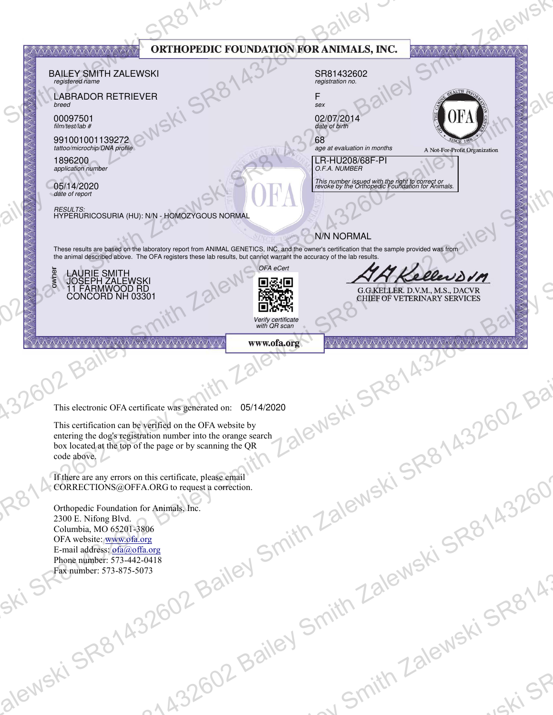| <b>YAYAYAYAYAY MAYA</b>       | <b>BAILEY SMITH ZALEWSKI</b>                                                                                              |                                                              | ORTHOPEDIC FOUNDATION FOR ANIMALS, INC.<br>SR81432602                                                                                                                                                                             | <b>AAAAAAAAAA</b>                                                            |         |
|-------------------------------|---------------------------------------------------------------------------------------------------------------------------|--------------------------------------------------------------|-----------------------------------------------------------------------------------------------------------------------------------------------------------------------------------------------------------------------------------|------------------------------------------------------------------------------|---------|
| registered name<br>breed      | <b>LABRADOR RETRIEVER</b>                                                                                                 |                                                              | registration no.<br>sex                                                                                                                                                                                                           |                                                                              |         |
| 00097501<br>film/test/lab #   | 991001001139272                                                                                                           |                                                              | 02/07/2014<br>date of birth<br>68                                                                                                                                                                                                 |                                                                              |         |
| 1896200<br>application number | tattoo/microchip/DNA profile                                                                                              |                                                              | age at evaluation in months<br><b>LR-HU208/68F-PI</b><br>O.F.A. NUMBER                                                                                                                                                            | A Not-For-Profit Organization                                                |         |
| 05/14/2020                    |                                                                                                                           |                                                              | This number issued with the right to correct or<br>revoke by the Orthopedic Foundation for Animals.                                                                                                                               |                                                                              |         |
|                               | <i>RESULTS:</i><br>HYPERURICOSURIA (HU): N/N - HOMOZYGOUS NORMAL                                                          |                                                              | N/N NORMAL                                                                                                                                                                                                                        |                                                                              |         |
|                               |                                                                                                                           | OFA eCert                                                    | These results are based on the laboratory report from ANIMAL GENETICS, INC. and the owner's certification that the sample provided was from<br>the animal described above. The OFA registers these lab results, but cannot warran |                                                                              |         |
|                               | LAURIE SMITH<br>JOSEPH ZALEWSKI<br>11 FARMWOOD RD<br>CONCORD NH 03301                                                     | D&B<br>勝数                                                    |                                                                                                                                                                                                                                   | KellerDVM<br>G.G.KELLER. D.V.M., M.S., DACVR<br>CHIEF OF VETERINARY SERVICES |         |
|                               |                                                                                                                           | Verify certificate<br>with QR scan                           |                                                                                                                                                                                                                                   |                                                                              |         |
|                               | VAAAAAAAAAAAAAAAAAAAAAAAAAA                                                                                               | www.ofa.org                                                  |                                                                                                                                                                                                                                   | AAAAAAAAAAAAAAAAAAAAAAAAAAA                                                  |         |
|                               |                                                                                                                           |                                                              |                                                                                                                                                                                                                                   |                                                                              |         |
|                               | This certification can be verified on the OFA website by<br>entering the dog's registration number into the orange search | This electronic OFA certificate was generated on: 05/14/2020 |                                                                                                                                                                                                                                   |                                                                              |         |
| code above.                   | box located at the top of the page or by scanning the QR                                                                  |                                                              |                                                                                                                                                                                                                                   |                                                                              |         |
|                               | If there are any errors on this certificate, please email<br>CORRECTIONS@OFFA.ORG to request a correction.                |                                                              |                                                                                                                                                                                                                                   |                                                                              |         |
|                               | Orthopedic Foundation for Animals, Inc.<br>2300 E. Nifong Blvd.<br>Columbia, MO 65201-3806                                |                                                              |                                                                                                                                                                                                                                   |                                                                              |         |
|                               | OFA website: www.ofa.org<br>E-mail address: ofa@offa.org<br>Phone number: 573-442-0418                                    |                                                              |                                                                                                                                                                                                                                   |                                                                              |         |
|                               | Fax number: 573-875-5073                                                                                                  |                                                              |                                                                                                                                                                                                                                   |                                                                              |         |
|                               |                                                                                                                           |                                                              |                                                                                                                                                                                                                                   |                                                                              |         |
|                               |                                                                                                                           |                                                              |                                                                                                                                                                                                                                   |                                                                              |         |
|                               | alewski SR81432602 Bailt.                                                                                                 |                                                              | M432602 Bailey Smith Zalev.<br>Smith Zalewski SR814.                                                                                                                                                                              |                                                                              | ISKI SP |
|                               |                                                                                                                           |                                                              |                                                                                                                                                                                                                                   |                                                                              |         |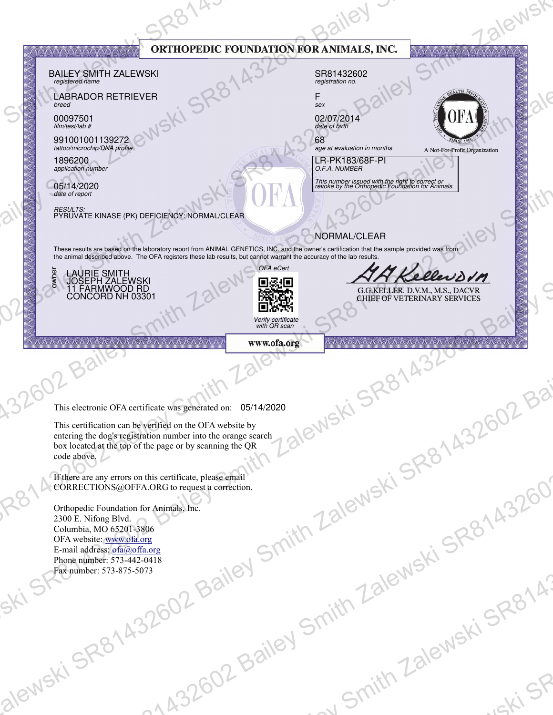| <b>YAYAYAYAYAY MAYA</b>                                       | <b>BAILEY SMITH ZALEWSKI</b>                                                                                              | ORTHOPEDIC FOUNDATION FOR ANIMALS, INC.<br>SR81432602                                                                                                                                                                                          |                                                                                                     | <b>AAAAAAAAAA</b>             |  |
|---------------------------------------------------------------|---------------------------------------------------------------------------------------------------------------------------|------------------------------------------------------------------------------------------------------------------------------------------------------------------------------------------------------------------------------------------------|-----------------------------------------------------------------------------------------------------|-------------------------------|--|
| registered name<br>breed                                      | <b>LABRADOR RETRIEVER</b>                                                                                                 | registration no.<br>sex                                                                                                                                                                                                                        |                                                                                                     |                               |  |
| 00097501<br>film/test/lab #<br>991001001139272                |                                                                                                                           | 02/07/2014<br>date of birth<br>68                                                                                                                                                                                                              |                                                                                                     |                               |  |
| tattoo/microchip/DNA profile<br>1896200<br>application number |                                                                                                                           | age at evaluation in months<br><b>LR-PK183/68F-PI</b><br>O.F.A. NUMBER                                                                                                                                                                         |                                                                                                     | A Not-For-Profit Organization |  |
| 05/14/2020                                                    |                                                                                                                           |                                                                                                                                                                                                                                                | This number issued with the right to correct or<br>revoke by the Orthopedic Foundation for Animals. |                               |  |
|                                                               | <i>RESULTS:</i><br>PYRUVATE KINASE (PK) DEFICIENCY: NORMAL/CLEAR                                                          | NORMAL/CLEAR                                                                                                                                                                                                                                   |                                                                                                     |                               |  |
|                                                               |                                                                                                                           | These results are based on the laboratory report from ANIMAL GENETICS, INC. and the owner's certification that the sample provided was from<br>the animal described above. The OFA registers these lab results, but cannot warran<br>OFA eCert |                                                                                                     |                               |  |
|                                                               | LAURIE SMITH<br>JOSEPH ZALEWSKI<br>11 FARMWOOD RD<br>CONCORD NH 03301                                                     | D&B<br>勝数                                                                                                                                                                                                                                      | KellerDVM<br>G.G.KELLER. D.V.M., M.S., DACVR<br>CHIEF OF VETERINARY SERVICES                        |                               |  |
|                                                               |                                                                                                                           | Verify certificate<br>with QR scan                                                                                                                                                                                                             |                                                                                                     |                               |  |
|                                                               | NAMA AAAA AAAAA AAAAA AAAAAAAAAA                                                                                          | www.ofa.org                                                                                                                                                                                                                                    | AAAAAAAAAAAAAAAAAAAAAA                                                                              |                               |  |
|                                                               |                                                                                                                           |                                                                                                                                                                                                                                                |                                                                                                     |                               |  |
|                                                               | This electronic OFA certificate was generated on: 05/14/2020<br>This certification can be verified on the OFA website by  |                                                                                                                                                                                                                                                |                                                                                                     |                               |  |
| code above.                                                   | entering the dog's registration number into the orange search<br>box located at the top of the page or by scanning the QR |                                                                                                                                                                                                                                                |                                                                                                     |                               |  |
|                                                               | If there are any errors on this certificate, please email<br>CORRECTIONS@OFFA.ORG to request a correction.                |                                                                                                                                                                                                                                                |                                                                                                     |                               |  |
|                                                               | Orthopedic Foundation for Animals, Inc.<br>2300 E. Nifong Blvd.                                                           |                                                                                                                                                                                                                                                |                                                                                                     |                               |  |
|                                                               | Columbia, MO 65201-3806<br>OFA website: www.ofa.org<br>E-mail address: ofa@offa.org                                       |                                                                                                                                                                                                                                                |                                                                                                     |                               |  |
|                                                               | Phone number: 573-442-0418<br>Fax number: 573-875-5073                                                                    |                                                                                                                                                                                                                                                |                                                                                                     |                               |  |
|                                                               | alewski SR81432602 Bailt.                                                                                                 | M432602 Bailey Smith Zalev.                                                                                                                                                                                                                    | Smith Zalewski SR814.                                                                               |                               |  |
|                                                               |                                                                                                                           |                                                                                                                                                                                                                                                |                                                                                                     |                               |  |
|                                                               |                                                                                                                           |                                                                                                                                                                                                                                                |                                                                                                     |                               |  |
|                                                               |                                                                                                                           |                                                                                                                                                                                                                                                |                                                                                                     | ISKI SP                       |  |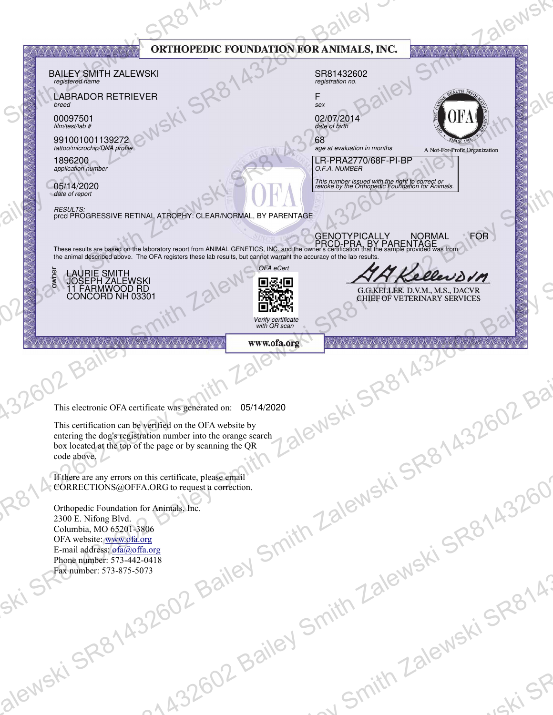| registered name                                                    | <b>BAILEY SMITH ZALEWSKI</b>                                                                                                                                                              |                                    | ORTHOPEDIC FOUNDATION FOR ANIMALS, INC.<br>SR81432602<br>registration no.                                                                                                                                                            | <b>AAAAAAAAAA</b>                                                            |         |
|--------------------------------------------------------------------|-------------------------------------------------------------------------------------------------------------------------------------------------------------------------------------------|------------------------------------|--------------------------------------------------------------------------------------------------------------------------------------------------------------------------------------------------------------------------------------|------------------------------------------------------------------------------|---------|
| breed<br>00097501                                                  | <b>LABRADOR RETRIEVER</b>                                                                                                                                                                 |                                    | sex<br>02/07/2014                                                                                                                                                                                                                    |                                                                              |         |
| film/test/lab #<br>991001001139272<br>tattoo/microchip/DNA profile |                                                                                                                                                                                           |                                    | date of birth<br>68<br>age at evaluation in months                                                                                                                                                                                   | A Not-For-Profit Organization                                                |         |
| 1896200<br>application number<br>05/14/2020                        |                                                                                                                                                                                           |                                    | LR-PRA2770/68F-PI-BP<br>O.F.A. NUMBER<br>This number issued with the right to correct or<br>revoke by the Orthopedic Foundation for Animals.                                                                                         |                                                                              |         |
|                                                                    | RESULTS:<br>prdd PROGRESSIVE RETINAL ATROPHY: CLEAR/NORMAL, BY PARENTAGE                                                                                                                  |                                    |                                                                                                                                                                                                                                      |                                                                              |         |
|                                                                    |                                                                                                                                                                                           |                                    | GENOTYPICALLY NORMAL<br>These results are based on the laboratory report from ANIMAL GENETICS, INC. and the owner's certification that the sample provided was from<br>the animal described above. The OFA registers these lab resul | FOR                                                                          |         |
|                                                                    | LAURIE SMITH<br>JOSEPH ZALEWSKI<br>11 FARMWOOD RD<br>CONCORD NH 03301                                                                                                                     | OFA eCert<br>D&B<br>勝数             |                                                                                                                                                                                                                                      | Kellevovn<br>G.G.KELLER. D.V.M., M.S., DACVR<br>CHIEF OF VETERINARY SERVICES |         |
|                                                                    |                                                                                                                                                                                           | Verify certificate<br>with QR scan |                                                                                                                                                                                                                                      |                                                                              |         |
|                                                                    | VAAAAAAAAAAAAAAAAAAAAAAAAA                                                                                                                                                                | www.ofa.org                        |                                                                                                                                                                                                                                      | AAAAAAAAAAAAAAAAAAAAAAA                                                      |         |
|                                                                    |                                                                                                                                                                                           |                                    |                                                                                                                                                                                                                                      |                                                                              |         |
|                                                                    | This electronic OFA certificate was generated on: 05/14/2020<br>This certification can be verified on the OFA website by<br>entering the dog's registration number into the orange search |                                    |                                                                                                                                                                                                                                      |                                                                              |         |
| code above.                                                        | box located at the top of the page or by scanning the QR                                                                                                                                  |                                    |                                                                                                                                                                                                                                      |                                                                              |         |
|                                                                    | If there are any errors on this certificate, please email<br>CORRECTIONS@OFFA.ORG to request a correction.<br>Orthopedic Foundation for Animals, Inc.                                     |                                    |                                                                                                                                                                                                                                      |                                                                              |         |
|                                                                    | 2300 E. Nifong Blvd.<br>Columbia, MO 65201-3806<br>OFA website: www.ofa.org                                                                                                               |                                    |                                                                                                                                                                                                                                      |                                                                              |         |
|                                                                    | E-mail address: ofa@offa.org<br>Phone number: 573-442-0418<br>Fax number: 573-875-5073                                                                                                    |                                    |                                                                                                                                                                                                                                      |                                                                              |         |
|                                                                    |                                                                                                                                                                                           |                                    |                                                                                                                                                                                                                                      |                                                                              |         |
|                                                                    | alewski SR81432602 Bailt.                                                                                                                                                                 |                                    | M432602 Bailey Smith Zalev.<br>Smith Zalewski SR814.                                                                                                                                                                                 |                                                                              |         |
|                                                                    |                                                                                                                                                                                           |                                    |                                                                                                                                                                                                                                      |                                                                              |         |
|                                                                    |                                                                                                                                                                                           |                                    |                                                                                                                                                                                                                                      |                                                                              | ISKI SP |